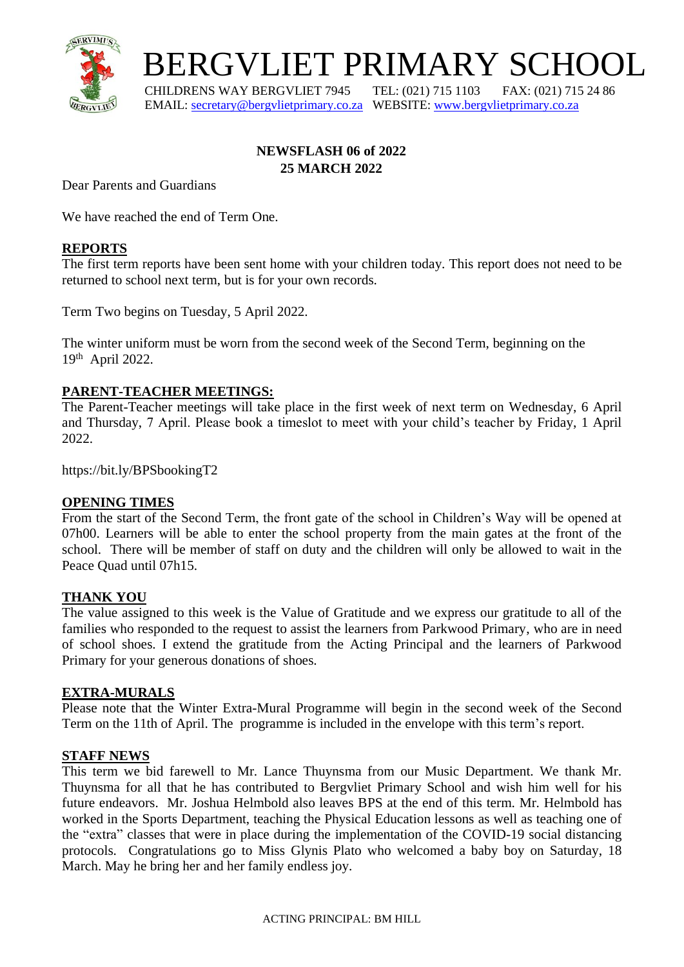

BERGVLIET PRIMARY SCHOOL

 CHILDRENS WAY BERGVLIET 7945 TEL: (021) 715 1103 FAX: (021) 715 24 86 EMAIL: [secretary@bergvlietprimary.co.za](mailto:secretary@bergvlietprimary.co.za) WEBSITE[: www.bergvlietprimary.co.za](http://www.bergvlietprimary.co.za/)

# **NEWSFLASH 06 of 2022 25 MARCH 2022**

Dear Parents and Guardians

We have reached the end of Term One.

## **REPORTS**

The first term reports have been sent home with your children today. This report does not need to be returned to school next term, but is for your own records.

Term Two begins on Tuesday, 5 April 2022.

The winter uniform must be worn from the second week of the Second Term, beginning on the 19th April 2022.

## **PARENT-TEACHER MEETINGS:**

The Parent-Teacher meetings will take place in the first week of next term on Wednesday, 6 April and Thursday, 7 April. Please book a timeslot to meet with your child's teacher by Friday, 1 April 2022.

https://bit.ly/BPSbookingT2

## **OPENING TIMES**

From the start of the Second Term, the front gate of the school in Children's Way will be opened at 07h00. Learners will be able to enter the school property from the main gates at the front of the school. There will be member of staff on duty and the children will only be allowed to wait in the Peace Quad until 07h15.

## **THANK YOU**

The value assigned to this week is the Value of Gratitude and we express our gratitude to all of the families who responded to the request to assist the learners from Parkwood Primary, who are in need of school shoes. I extend the gratitude from the Acting Principal and the learners of Parkwood Primary for your generous donations of shoes.

## **EXTRA-MURALS**

Please note that the Winter Extra-Mural Programme will begin in the second week of the Second Term on the 11th of April. The programme is included in the envelope with this term's report.

#### **STAFF NEWS**

This term we bid farewell to Mr. Lance Thuynsma from our Music Department. We thank Mr. Thuynsma for all that he has contributed to Bergvliet Primary School and wish him well for his future endeavors. Mr. Joshua Helmbold also leaves BPS at the end of this term. Mr. Helmbold has worked in the Sports Department, teaching the Physical Education lessons as well as teaching one of the "extra" classes that were in place during the implementation of the COVID-19 social distancing protocols. Congratulations go to Miss Glynis Plato who welcomed a baby boy on Saturday, 18 March. May he bring her and her family endless joy.